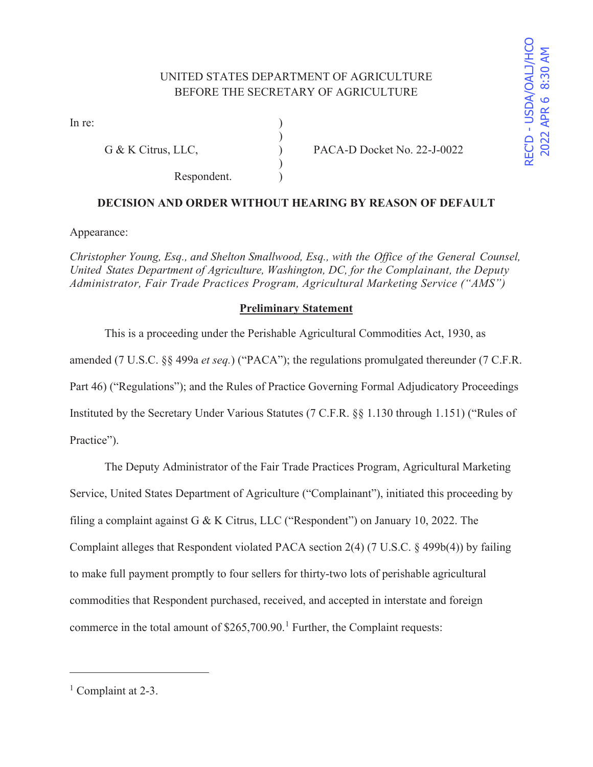# UNITED STATES DEPARTMENT OF AGRICULTURE BEFORE THE SECRETARY OF AGRICULTURE

)

 $\mathcal{L}$ 

In re:  $\qquad \qquad$  )

Respondent.

G & K Citrus, LLC,  $PACA-D Docket No. 22-J-0022$ 

## **DECISION AND ORDER WITHOUT HEARING BY REASON OF DEFAULT**

Appearance:

*Christopher Young, Esq., and Shelton Smallwood, Esq., with the Office of the General Counsel, United States Department of Agriculture, Washington, DC, for the Complainant, the Deputy Administrator, Fair Trade Practices Program, Agricultural Marketing Service ("AMS")* 

## **Preliminary Statement**

 This is a proceeding under the Perishable Agricultural Commodities Act, 1930, as amended (7 U.S.C. §§ 499a *et seq.*) ("PACA"); the regulations promulgated thereunder (7 C.F.R. Part 46) ("Regulations"); and the Rules of Practice Governing Formal Adjudicatory Proceedings Instituted by the Secretary Under Various Statutes (7 C.F.R. §§ 1.130 through 1.151) ("Rules of Practice").

 The Deputy Administrator of the Fair Trade Practices Program, Agricultural Marketing Service, United States Department of Agriculture ("Complainant"), initiated this proceeding by filing a complaint against G & K Citrus, LLC ("Respondent") on January 10, 2022. The Complaint alleges that Respondent violated PACA section 2(4) (7 U.S.C. § 499b(4)) by failing to make full payment promptly to four sellers for thirty-two lots of perishable agricultural commodities that Respondent purchased, received, and accepted in interstate and foreign commerce in the total amount of  $$265,700.90$ .<sup>1</sup> Further, the Complaint requests:

<sup>&</sup>lt;sup>1</sup> Complaint at 2-3.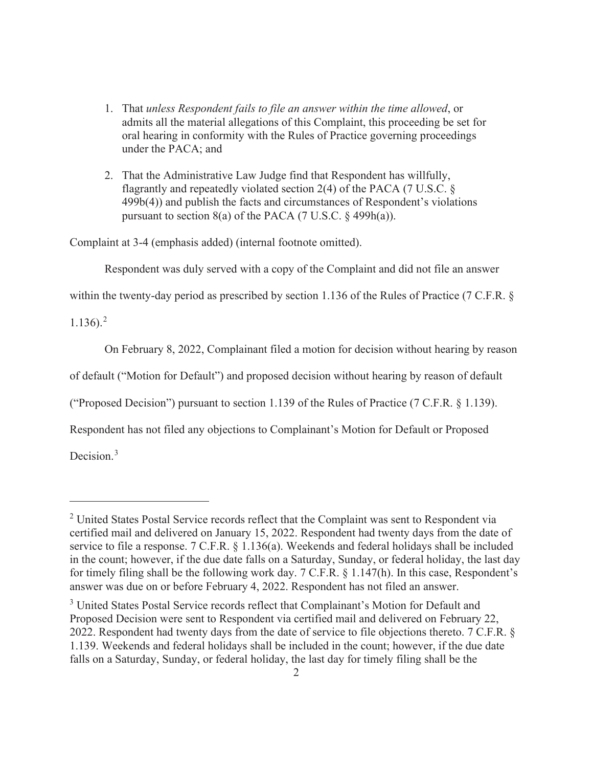- 1. That *unless Respondent fails to file an answer within the time allowed*, or admits all the material allegations of this Complaint, this proceeding be set for oral hearing in conformity with the Rules of Practice governing proceedings under the PACA; and
- 2. That the Administrative Law Judge find that Respondent has willfully, flagrantly and repeatedly violated section 2(4) of the PACA (7 U.S.C. § 499b(4)) and publish the facts and circumstances of Respondent's violations pursuant to section  $8(a)$  of the PACA (7 U.S.C. § 499h(a)).

Complaint at 3-4 (emphasis added) (internal footnote omitted).

Respondent was duly served with a copy of the Complaint and did not file an answer

within the twenty-day period as prescribed by section 1.136 of the Rules of Practice (7 C.F.R. §

 $1.136$ ).<sup>2</sup>

On February 8, 2022, Complainant filed a motion for decision without hearing by reason

of default ("Motion for Default") and proposed decision without hearing by reason of default

("Proposed Decision") pursuant to section 1.139 of the Rules of Practice (7 C.F.R. § 1.139).

Respondent has not filed any objections to Complainant's Motion for Default or Proposed

Decision.<sup>3</sup>

<sup>&</sup>lt;sup>2</sup> United States Postal Service records reflect that the Complaint was sent to Respondent via certified mail and delivered on January 15, 2022. Respondent had twenty days from the date of service to file a response. 7 C.F.R. § 1.136(a). Weekends and federal holidays shall be included in the count; however, if the due date falls on a Saturday, Sunday, or federal holiday, the last day for timely filing shall be the following work day. 7 C.F.R. § 1.147(h). In this case, Respondent's answer was due on or before February 4, 2022. Respondent has not filed an answer.

<sup>&</sup>lt;sup>3</sup> United States Postal Service records reflect that Complainant's Motion for Default and Proposed Decision were sent to Respondent via certified mail and delivered on February 22, 2022. Respondent had twenty days from the date of service to file objections thereto. 7 C.F.R. § 1.139. Weekends and federal holidays shall be included in the count; however, if the due date falls on a Saturday, Sunday, or federal holiday, the last day for timely filing shall be the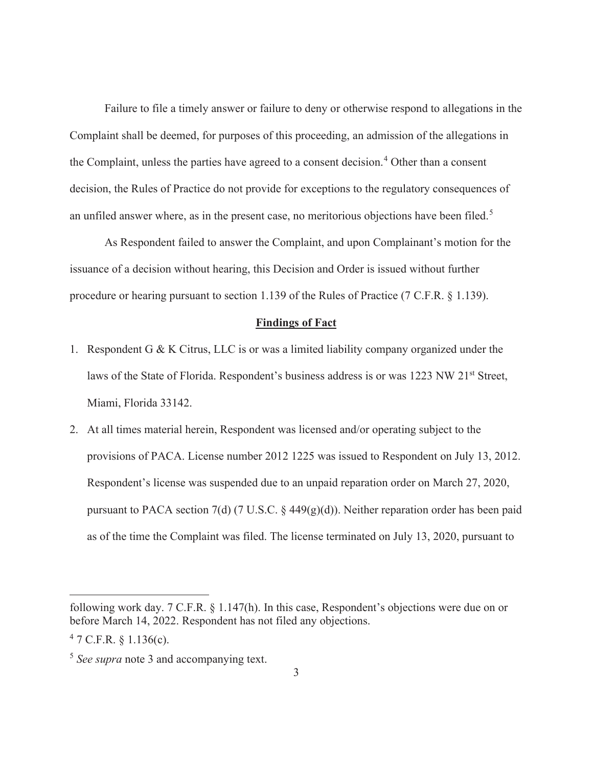Failure to file a timely answer or failure to deny or otherwise respond to allegations in the Complaint shall be deemed, for purposes of this proceeding, an admission of the allegations in the Complaint, unless the parties have agreed to a consent decision.<sup>4</sup> Other than a consent decision, the Rules of Practice do not provide for exceptions to the regulatory consequences of an unfiled answer where, as in the present case, no meritorious objections have been filed.<sup>5</sup>

 As Respondent failed to answer the Complaint, and upon Complainant's motion for the issuance of a decision without hearing, this Decision and Order is issued without further procedure or hearing pursuant to section 1.139 of the Rules of Practice (7 C.F.R. § 1.139).

#### **Findings of Fact**

- 1. Respondent G & K Citrus, LLC is or was a limited liability company organized under the laws of the State of Florida. Respondent's business address is or was 1223 NW 21<sup>st</sup> Street, Miami, Florida 33142.
- 2. At all times material herein, Respondent was licensed and/or operating subject to the provisions of PACA. License number 2012 1225 was issued to Respondent on July 13, 2012. Respondent's license was suspended due to an unpaid reparation order on March 27, 2020, pursuant to PACA section 7(d) (7 U.S.C.  $\S$  449(g)(d)). Neither reparation order has been paid as of the time the Complaint was filed. The license terminated on July 13, 2020, pursuant to

following work day. 7 C.F.R. § 1.147(h). In this case, Respondent's objections were due on or before March 14, 2022. Respondent has not filed any objections.

 $47$  C.F.R. § 1.136(c).

<sup>5</sup> *See supra* note 3 and accompanying text.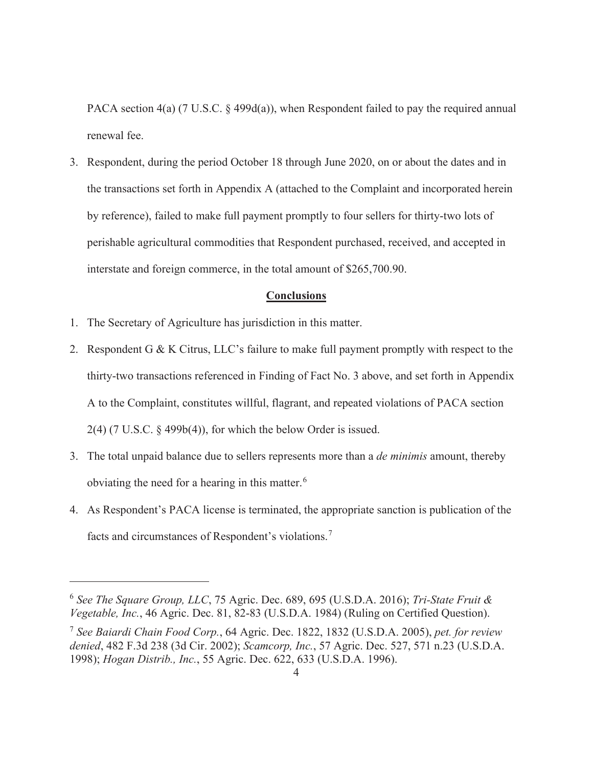PACA section 4(a) (7 U.S.C. § 499d(a)), when Respondent failed to pay the required annual renewal fee.

3. Respondent, during the period October 18 through June 2020, on or about the dates and in the transactions set forth in Appendix A (attached to the Complaint and incorporated herein by reference), failed to make full payment promptly to four sellers for thirty-two lots of perishable agricultural commodities that Respondent purchased, received, and accepted in interstate and foreign commerce, in the total amount of \$265,700.90.

#### **Conclusions**

- 1. The Secretary of Agriculture has jurisdiction in this matter.
- 2. Respondent G & K Citrus, LLC's failure to make full payment promptly with respect to the thirty-two transactions referenced in Finding of Fact No. 3 above, and set forth in Appendix A to the Complaint, constitutes willful, flagrant, and repeated violations of PACA section 2(4) (7 U.S.C. § 499b(4)), for which the below Order is issued.
- 3. The total unpaid balance due to sellers represents more than a *de minimis* amount, thereby obviating the need for a hearing in this matter.<sup>6</sup>
- 4. As Respondent's PACA license is terminated, the appropriate sanction is publication of the facts and circumstances of Respondent's violations.<sup>7</sup>

<sup>6</sup> *See The Square Group, LLC*, 75 Agric. Dec. 689, 695 (U.S.D.A. 2016); *Tri-State Fruit & Vegetable, Inc.*, 46 Agric. Dec. 81, 82-83 (U.S.D.A. 1984) (Ruling on Certified Question).

<sup>7</sup> *See Baiardi Chain Food Corp.*, 64 Agric. Dec. 1822, 1832 (U.S.D.A. 2005), *pet. for review denied*, 482 F.3d 238 (3d Cir. 2002); *Scamcorp, Inc.*, 57 Agric. Dec. 527, 571 n.23 (U.S.D.A. 1998); *Hogan Distrib., Inc.*, 55 Agric. Dec. 622, 633 (U.S.D.A. 1996).